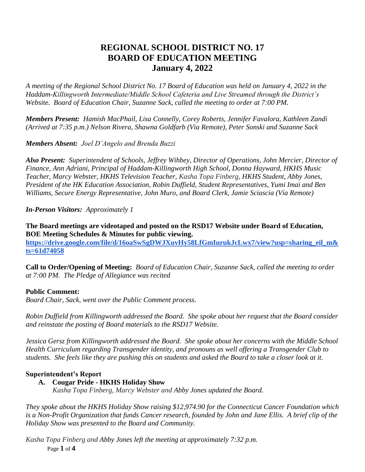# **REGIONAL SCHOOL DISTRICT NO. 17 BOARD OF EDUCATION MEETING January 4, 2022**

*A meeting of the Regional School District No. 17 Board of Education was held on January 4, 2022 in the Haddam-Killingworth Intermediate/Middle School Cafeteria and Live Streamed through the District's Website. Board of Education Chair, Suzanne Sack, called the meeting to order at 7:00 PM.*

*Members Present: Hamish MacPhail, Lisa Connelly, Corey Roberts, Jennifer Favalora, Kathleen Zandi (Arrived at 7:35 p.m.) Nelson Rivera, Shawna Goldfarb (Via Remote), Peter Sonski and Suzanne Sack*

*Members Absent: Joel D'Angelo and Brenda Buzzi*

*Also Present: Superintendent of Schools, Jeffrey Wihbey, Director of Operations, John Mercier, Director of Finance, Ann Adriani, Principal of Haddam-Killingworth High School, Donna Hayward, HKHS Music Teacher, Marcy Webster, HKHS Television Teacher, Kasha Topa Finberg, HKHS Student, Abby Jones, President of the HK Education Association, Robin Duffield, Student Representatives, Yumi Imai and Ben Williams, Secure Energy Representative, John Muro, and Board Clerk, Jamie Sciascia (Via Remote)*

*In-Person Visitors: Approximately 1*

**The Board meetings are videotaped and posted on the RSD17 Website under Board of Education, BOE Meeting Schedules & Minutes for public viewing. [https://drive.google.com/file/d/16oaSwSgDWJXuvHy58LfGmIurukJcLwx7/view?usp=sharing\\_eil\\_m&](https://drive.google.com/file/d/16oaSwSgDWJXuvHy58LfGmIurukJcLwx7/view?usp=sharing_eil_m&ts=61d74058) [ts=61d74058](https://drive.google.com/file/d/16oaSwSgDWJXuvHy58LfGmIurukJcLwx7/view?usp=sharing_eil_m&ts=61d74058)**

**Call to Order/Opening of Meeting:** *Board of Education Chair, Suzanne Sack, called the meeting to order at 7:00 PM. The Pledge of Allegiance was recited*

# **Public Comment:**

*Board Chair, Sack, went over the Public Comment process.*

*Robin Duffield from Killingworth addressed the Board. She spoke about her request that the Board consider and reinstate the posting of Board materials to the RSD17 Website.* 

*Jessica Gersz from Killingworth addressed the Board. She spoke about her concerns with the Middle School Health Curriculum regarding Transgender identity, and pronouns as well offering a Transgender Club to students. She feels like they are pushing this on students and asked the Board to take a closer look at it.*

### **Superintendent's Report**

### **A. Cougar Pride - HKHS Holiday Show**

*Kasha Topa Finberg, Marcy Webster and Abby Jones updated the Board.*

*They spoke about the HKHS Holiday Show raising \$12,974.90 for the Connecticut Cancer Foundation which is a Non-Profit Organization that funds Cancer research, founded by John and Jane Ellis. A brief clip of the Holiday Show was presented to the Board and Community.*

Page **1** of **4** *Kasha Topa Finberg and Abby Jones left the meeting at approximately 7:32 p.m.*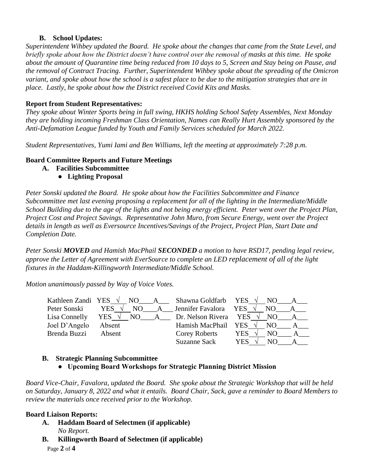#### **B. School Updates:**

*Superintendent Wihbey updated the Board. He spoke about the changes that came from the State Level, and briefly spoke about how the District doesn't have control over the removal of masks at this time. He spoke about the amount of Quarantine time being reduced from 10 days to 5, Screen and Stay being on Pause, and the removal of Contract Tracing. Further, Superintendent Wihbey spoke about the spreading of the Omicron variant, and spoke about how the school is a safest place to be due to the mitigation strategies that are in place. Lastly, he spoke about how the District received Covid Kits and Masks.* 

#### **Report from Student Representatives:**

*They spoke about Winter Sports being in full swing, HKHS holding School Safety Assembles, Next Monday they are holding incoming Freshman Class Orientation, Names can Really Hurt Assembly sponsored by the Anti-Defamation League funded by Youth and Family Services scheduled for March 2022.*

*Student Representatives, Yumi Iami and Ben Williams, left the meeting at approximately 7:28 p.m.*

### **Board Committee Reports and Future Meetings**

- **A. Facilities Subcommittee** 
	- **Lighting Proposal**

*Peter Sonski updated the Board. He spoke about how the Facilities Subcommittee and Finance Subcommittee met last evening proposing a replacement for all of the lighting in the Intermediate/Middle School Building due to the age of the lights and not being energy efficient. Peter went over the Project Plan, Project Cost and Project Savings. Representative John Muro, from Secure Energy, went over the Project details in length as well as Eversource Incentives/Savings of the Project, Project Plan, Start Date and Completion Date.*

*Peter Sonski MOVED and Hamish MacPhail SECONDED a motion to have RSD17, pending legal review, approve the Letter of Agreement with EverSource to complete an LED replacement of all of the light fixtures in the Haddam-Killingworth Intermediate/Middle School.*

*Motion unanimously passed by Way of Voice Votes.*

|               |                     |  | Kathleen Zandi YES $\sqrt{}$ NO A Shawna Goldfarb YES $\sqrt{}$ | NO.        |  |
|---------------|---------------------|--|-----------------------------------------------------------------|------------|--|
| Peter Sonski  | YES ·<br>$\sqrt{ }$ |  | NO A Jennifer Favalora YES                                      | NO.        |  |
| Lisa Connelly |                     |  | $YES \sqrt NO$ A Dr. Nelson Rivera YES                          | NO.        |  |
| Joel D'Angelo | Absent              |  | Hamish MacPhail YES $\sqrt{}$                                   | NO.        |  |
| Brenda Buzzi  | Absent              |  | Corey Roberts                                                   | YES<br>NO. |  |
|               |                     |  | Suzanne Sack                                                    | YES<br>NО  |  |

### **B. Strategic Planning Subcommittee**

 **● Upcoming Board Workshops for Strategic Planning District Mission**

*Board Vice-Chair, Favalora, updated the Board. She spoke about the Strategic Workshop that will be held on Saturday, January 8, 2022 and what it entails. Board Chair, Sack, gave a reminder to Board Members to review the materials once received prior to the Workshop.*

### **Board Liaison Reports:**

- **A. Haddam Board of Selectmen (if applicable)** *No Report.*
- **B. Killingworth Board of Selectmen (if applicable)**

Page **2** of **4**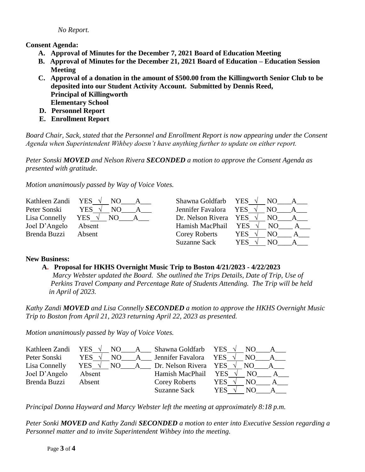*No Report.*

**Consent Agenda:**

- **A. Approval of Minutes for the December 7, 2021 Board of Education Meeting**
- **B. Approval of Minutes for the December 21, 2021 Board of Education – Education Session Meeting**
- **C. Approval of a donation in the amount of \$500.00 from the Killingworth Senior Club to be deposited into our Student Activity Account. Submitted by Dennis Reed, Principal of Killingworth Elementary School**
- **D. Personnel Report**
- **E. Enrollment Report**

*Board Chair, Sack, stated that the Personnel and Enrollment Report is now appearing under the Consent Agenda when Superintendent Wihbey doesn't have anything further to update on either report.*

*Peter Sonski MOVED and Nelson Rivera SECONDED a motion to approve the Consent Agenda as presented with gratitude.*

*Motion unanimously passed by Way of Voice Votes.*

| Kathleen Zandi | YES                   | Shawna Goldfarb YES $\sqrt{}$   | NO.               |
|----------------|-----------------------|---------------------------------|-------------------|
| Peter Sonski   | <b>YES</b>            | Jennifer Favalora               | <b>YES</b><br>NO. |
| Lisa Connelly  | YES $\sqrt{ }$<br>NO. | Dr. Nelson Rivera YES $\sqrt{}$ | NO.               |
| Joel D'Angelo  | Absent                | Hamish MacPhail                 | <b>YES</b><br>NO. |
| Brenda Buzzi   | Absent                | Corey Roberts                   | YES.<br>NO.       |
|                |                       | Suzanne Sack                    | YES<br>NO.        |

### **New Business:**

# **A. Proposal for HKHS Overnight Music Trip to Boston 4/21/2023 - 4/22/2023**

*Marcy Webster updated the Board. She outlined the Trips Details, Date of Trip, Use of Perkins Travel Company and Percentage Rate of Students Attending. The Trip will be held in April of 2023.*

*Kathy Zandi MOVED and Lisa Connelly SECONDED a motion to approve the HKHS Overnight Music Trip to Boston from April 21, 2023 returning April 22, 2023 as presented.*

*Motion unanimously passed by Way of Voice Votes.*

| Kathleen Zandi | YES $\sqrt{}$  |     |   | NO A Shawna Goldfarb YES |            | NO. | $\mathbf{A}$ |
|----------------|----------------|-----|---|--------------------------|------------|-----|--------------|
| Peter Sonski   | YES            | NO. | A | Jennifer Favalora        | YES        | NO. |              |
| Lisa Connelly  | YES $\sqrt{ }$ | NO. |   | A Dr. Nelson Rivera YES  |            | NO. |              |
| Joel D'Angelo  | Absent         |     |   | Hamish MacPhail          | <b>YES</b> | NO. |              |
| Brenda Buzzi   | Absent         |     |   | Corey Roberts            | YES        | NO. |              |
|                |                |     |   | Suzanne Sack             | YES        |     |              |

*Principal Donna Hayward and Marcy Webster left the meeting at approximately 8:18 p.m.* 

*Peter Sonki MOVED and Kathy Zandi SECONDED a motion to enter into Executive Session regarding a Personnel matter and to invite Superintendent Wihbey into the meeting.*